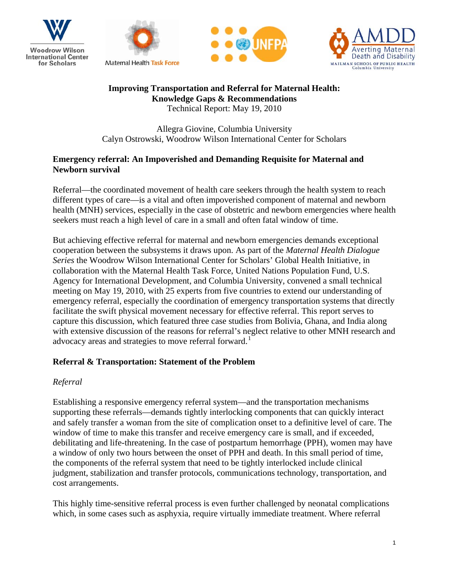







# **Improving Transportation and Referral for Maternal Health: Knowledge Gaps & Recommendations**

Technical Report: May 19, 2010

Allegra Giovine, Columbia University Calyn Ostrowski, Woodrow Wilson International Center for Scholars

# **Emergency referral: An Impoverished and Demanding Requisite for Maternal and Newborn survival**

Referral—the coordinated movement of health care seekers through the health system to reach different types of care—is a vital and often impoverished component of maternal and newborn health (MNH) services, especially in the case of obstetric and newborn emergencies where health seekers must reach a high level of care in a small and often fatal window of time.

But achieving effective referral for maternal and newborn emergencies demands exceptional cooperation between the subsystems it draws upon. As part of the *Maternal Health Dialogue Series* the Woodrow Wilson International Center for Scholars' Global Health Initiative, in collaboration with the Maternal Health Task Force, United Nations Population Fund, U.S. Agency for International Development, and Columbia University, convened a small technical meeting on May 19, 2010, with 25 experts from five countries to extend our understanding of emergency referral, especially the coordination of emergency transportation systems that directly facilitate the swift physical movement necessary for effective referral. This report serves to capture this discussion, which featured three case studies from Bolivia, Ghana, and India along with extensive discussion of the reasons for referral's neglect relative to other MNH research and advocacy areas and strategies to move referral forward.<sup>[1](#page-4-0)</sup>

# **Referral & Transportation: Statement of the Problem**

## *Referral*

Establishing a responsive emergency referral system—and the transportation mechanisms supporting these referrals—demands tightly interlocking components that can quickly interact and safely transfer a woman from the site of complication onset to a definitive level of care. The window of time to make this transfer and receive emergency care is small, and if exceeded, debilitating and life-threatening. In the case of postpartum hemorrhage (PPH), women may have a window of only two hours between the onset of PPH and death. In this small period of time, the components of the referral system that need to be tightly interlocked include clinical judgment, stabilization and transfer protocols, communications technology, transportation, and cost arrangements.

This highly time-sensitive referral process is even further challenged by neonatal complications which, in some cases such as asphyxia, require virtually immediate treatment. Where referral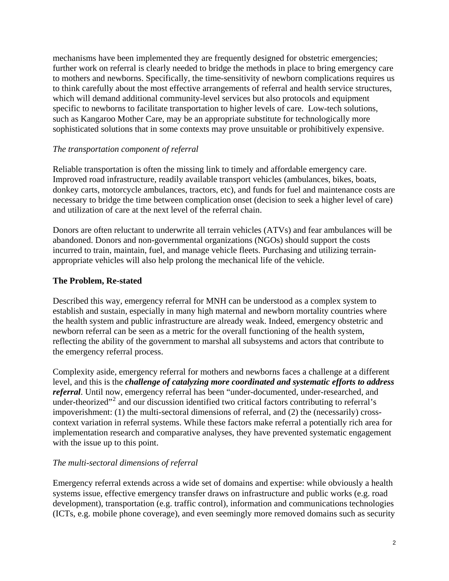mechanisms have been implemented they are frequently designed for obstetric emergencies; further work on referral is clearly needed to bridge the methods in place to bring emergency care to mothers and newborns. Specifically, the time-sensitivity of newborn complications requires us to think carefully about the most effective arrangements of referral and health service structures, which will demand additional community-level services but also protocols and equipment specific to newborns to facilitate transportation to higher levels of care. Low-tech solutions, such as Kangaroo Mother Care, may be an appropriate substitute for technologically more sophisticated solutions that in some contexts may prove unsuitable or prohibitively expensive.

#### *The transportation component of referral*

Reliable transportation is often the missing link to timely and affordable emergency care. Improved road infrastructure, readily available transport vehicles (ambulances, bikes, boats, donkey carts, motorcycle ambulances, tractors, etc), and funds for fuel and maintenance costs are necessary to bridge the time between complication onset (decision to seek a higher level of care) and utilization of care at the next level of the referral chain.

Donors are often reluctant to underwrite all terrain vehicles (ATVs) and fear ambulances will be abandoned. Donors and non-governmental organizations (NGOs) should support the costs incurred to train, maintain, fuel, and manage vehicle fleets. Purchasing and utilizing terrainappropriate vehicles will also help prolong the mechanical life of the vehicle.

#### **The Problem, Re-stated**

Described this way, emergency referral for MNH can be understood as a complex system to establish and sustain, especially in many high maternal and newborn mortality countries where the health system and public infrastructure are already weak. Indeed, emergency obstetric and newborn referral can be seen as a metric for the overall functioning of the health system, reflecting the ability of the government to marshal all subsystems and actors that contribute to the emergency referral process.

Complexity aside, emergency referral for mothers and newborns faces a challenge at a different level, and this is the *challenge of catalyzing more coordinated and systematic efforts to address referral*. Until now, emergency referral has been "under-documented, under-researched, and under-theorized"<sup>[2](#page-5-0)</sup> and our discussion identified two critical factors contributing to referral's impoverishment: (1) the multi-sectoral dimensions of referral, and (2) the (necessarily) crosscontext variation in referral systems. While these factors make referral a potentially rich area for implementation research and comparative analyses, they have prevented systematic engagement with the issue up to this point.

#### *The multi-sectoral dimensions of referral*

Emergency referral extends across a wide set of domains and expertise: while obviously a health systems issue, effective emergency transfer draws on infrastructure and public works (e.g. road development), transportation (e.g. traffic control), information and communications technologies (ICTs, e.g. mobile phone coverage), and even seemingly more removed domains such as security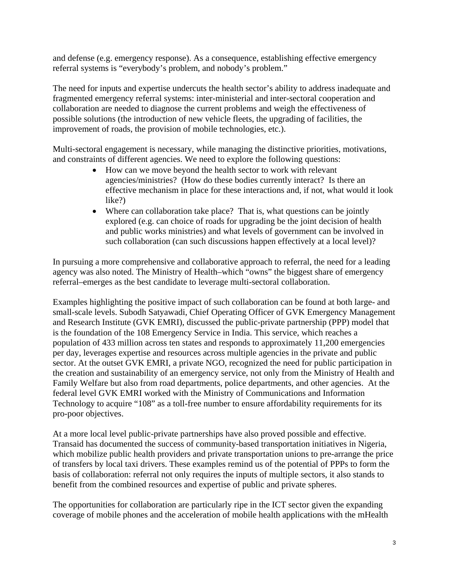and defense (e.g. emergency response). As a consequence, establishing effective emergency referral systems is "everybody's problem, and nobody's problem."

The need for inputs and expertise undercuts the health sector's ability to address inadequate and fragmented emergency referral systems: inter-ministerial and inter-sectoral cooperation and collaboration are needed to diagnose the current problems and weigh the effectiveness of possible solutions (the introduction of new vehicle fleets, the upgrading of facilities, the improvement of roads, the provision of mobile technologies, etc.).

Multi-sectoral engagement is necessary, while managing the distinctive priorities, motivations, and constraints of different agencies. We need to explore the following questions:

- How can we move beyond the health sector to work with relevant agencies/ministries? (How do these bodies currently interact? Is there an effective mechanism in place for these interactions and, if not, what would it look like?)
- Where can collaboration take place? That is, what questions can be jointly explored (e.g. can choice of roads for upgrading be the joint decision of health and public works ministries) and what levels of government can be involved in such collaboration (can such discussions happen effectively at a local level)?

In pursuing a more comprehensive and collaborative approach to referral, the need for a leading agency was also noted. The Ministry of Health–which "owns" the biggest share of emergency referral–emerges as the best candidate to leverage multi-sectoral collaboration.

Examples highlighting the positive impact of such collaboration can be found at both large- and small-scale levels. Subodh Satyawadi, Chief Operating Officer of GVK Emergency Management and Research Institute (GVK EMRI), discussed the public-private partnership (PPP) model that is the foundation of the 108 Emergency Service in India. This service, which reaches a population of 433 million across ten states and responds to approximately 11,200 emergencies per day, leverages expertise and resources across multiple agencies in the private and public sector. At the outset GVK EMRI, a private NGO, recognized the need for public participation in the creation and sustainability of an emergency service, not only from the Ministry of Health and Family Welfare but also from road departments, police departments, and other agencies. At the federal level GVK EMRI worked with the Ministry of Communications and Information Technology to acquire "108" as a toll-free number to ensure affordability requirements for its pro-poor objectives.

At a more local level public-private partnerships have also proved possible and effective. Transaid has documented the success of community-based transportation initiatives in Nigeria, which mobilize public health providers and private transportation unions to pre-arrange the price of transfers by local taxi drivers. These examples remind us of the potential of PPPs to form the basis of collaboration: referral not only requires the inputs of multiple sectors, it also stands to benefit from the combined resources and expertise of public and private spheres.

The opportunities for collaboration are particularly ripe in the ICT sector given the expanding coverage of mobile phones and the acceleration of mobile health applications with the mHealth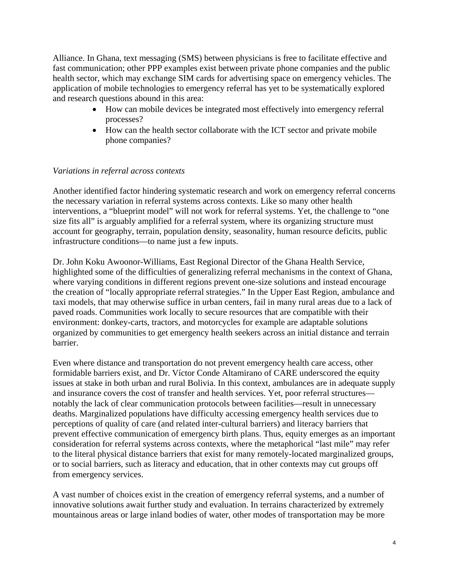Alliance. In Ghana, text messaging (SMS) between physicians is free to facilitate effective and fast communication; other PPP examples exist between private phone companies and the public health sector, which may exchange SIM cards for advertising space on emergency vehicles. The application of mobile technologies to emergency referral has yet to be systematically explored and research questions abound in this area:

- How can mobile devices be integrated most effectively into emergency referral processes?
- How can the health sector collaborate with the ICT sector and private mobile phone companies?

## *Variations in referral across contexts*

Another identified factor hindering systematic research and work on emergency referral concerns the necessary variation in referral systems across contexts. Like so many other health interventions, a "blueprint model" will not work for referral systems. Yet, the challenge to "one size fits all" is arguably amplified for a referral system, where its organizing structure must account for geography, terrain, population density, seasonality, human resource deficits, public infrastructure conditions—to name just a few inputs.

Dr. John Koku Awoonor-Williams, East Regional Director of the Ghana Health Service, highlighted some of the difficulties of generalizing referral mechanisms in the context of Ghana, where varying conditions in different regions prevent one-size solutions and instead encourage the creation of "locally appropriate referral strategies." In the Upper East Region, ambulance and taxi models, that may otherwise suffice in urban centers, fail in many rural areas due to a lack of paved roads. Communities work locally to secure resources that are compatible with their environment: donkey-carts, tractors, and motorcycles for example are adaptable solutions organized by communities to get emergency health seekers across an initial distance and terrain barrier.

Even where distance and transportation do not prevent emergency health care access, other formidable barriers exist, and Dr. Víctor Conde Altamirano of CARE underscored the equity issues at stake in both urban and rural Bolivia. In this context, ambulances are in adequate supply and insurance covers the cost of transfer and health services. Yet, poor referral structures notably the lack of clear communication protocols between facilities—result in unnecessary deaths. Marginalized populations have difficulty accessing emergency health services due to perceptions of quality of care (and related inter-cultural barriers) and literacy barriers that prevent effective communication of emergency birth plans. Thus, equity emerges as an important consideration for referral systems across contexts, where the metaphorical "last mile" may refer to the literal physical distance barriers that exist for many remotely-located marginalized groups, or to social barriers, such as literacy and education, that in other contexts may cut groups off from emergency services.

A vast number of choices exist in the creation of emergency referral systems, and a number of innovative solutions await further study and evaluation. In terrains characterized by extremely mountainous areas or large inland bodies of water, other modes of transportation may be more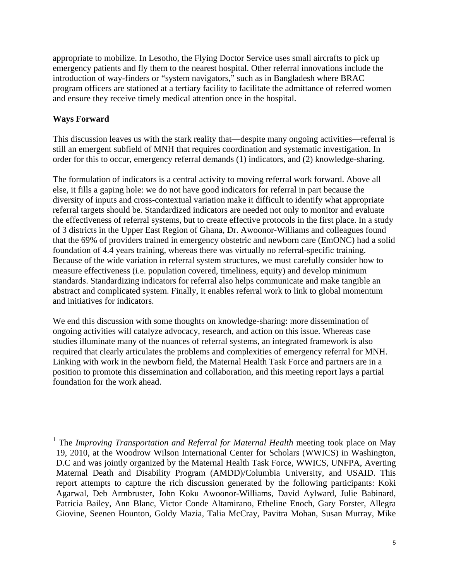appropriate to mobilize. In Lesotho, the Flying Doctor Service uses small aircrafts to pick up emergency patients and fly them to the nearest hospital. Other referral innovations include the introduction of way-finders or "system navigators," such as in Bangladesh where BRAC program officers are stationed at a tertiary facility to facilitate the admittance of referred women and ensure they receive timely medical attention once in the hospital.

#### **Ways Forward**

l

This discussion leaves us with the stark reality that—despite many ongoing activities—referral is still an emergent subfield of MNH that requires coordination and systematic investigation. In order for this to occur, emergency referral demands (1) indicators, and (2) knowledge-sharing.

The formulation of indicators is a central activity to moving referral work forward. Above all else, it fills a gaping hole: we do not have good indicators for referral in part because the diversity of inputs and cross-contextual variation make it difficult to identify what appropriate referral targets should be. Standardized indicators are needed not only to monitor and evaluate the effectiveness of referral systems, but to create effective protocols in the first place. In a study of 3 districts in the Upper East Region of Ghana, Dr. Awoonor-Williams and colleagues found that the 69% of providers trained in emergency obstetric and newborn care (EmONC) had a solid foundation of 4.4 years training, whereas there was virtually no referral-specific training. Because of the wide variation in referral system structures, we must carefully consider how to measure effectiveness (i.e. population covered, timeliness, equity) and develop minimum standards. Standardizing indicators for referral also helps communicate and make tangible an abstract and complicated system. Finally, it enables referral work to link to global momentum and initiatives for indicators.

We end this discussion with some thoughts on knowledge-sharing: more dissemination of ongoing activities will catalyze advocacy, research, and action on this issue. Whereas case studies illuminate many of the nuances of referral systems, an integrated framework is also required that clearly articulates the problems and complexities of emergency referral for MNH. Linking with work in the newborn field, the Maternal Health Task Force and partners are in a position to promote this dissemination and collaboration, and this meeting report lays a partial foundation for the work ahead.

<span id="page-4-0"></span><sup>1</sup> The *Improving Transportation and Referral for Maternal Health* meeting took place on May 19, 2010, at the Woodrow Wilson International Center for Scholars (WWICS) in Washington, D.C and was jointly organized by the Maternal Health Task Force, WWICS, UNFPA, Averting Maternal Death and Disability Program (AMDD)/Columbia University, and USAID. This report attempts to capture the rich discussion generated by the following participants: Koki Agarwal, Deb Armbruster, John Koku Awoonor-Williams, David Aylward, Julie Babinard, Patricia Bailey, Ann Blanc, Victor Conde Altamirano, Etheline Enoch, Gary Forster, Allegra Giovine, Seenen Hounton, Goldy Mazia, Talia McCray, Pavitra Mohan, Susan Murray, Mike